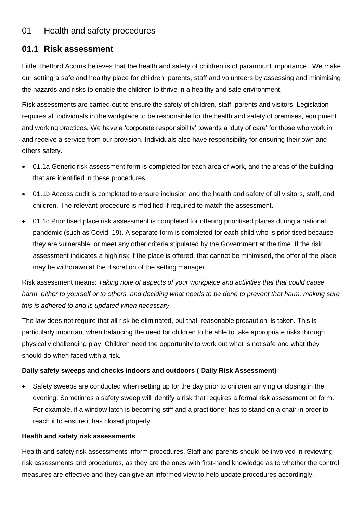## **01.1 Risk assessment**

Little Thetford Acorns believes that the health and safety of children is of paramount importance. We make our setting a safe and healthy place for children, parents, staff and volunteers by assessing and minimising the hazards and risks to enable the children to thrive in a healthy and safe environment.

Risk assessments are carried out to ensure the safety of children, staff, parents and visitors. Legislation requires all individuals in the workplace to be responsible for the health and safety of premises, equipment and working practices. We have a 'corporate responsibility' towards a 'duty of care' for those who work in and receive a service from our provision. Individuals also have responsibility for ensuring their own and others safety.

- 01.1a Generic risk assessment form is completed for each area of work, and the areas of the building that are identified in these procedures
- 01.1b Access audit is completed to ensure inclusion and the health and safety of all visitors, staff, and children. The relevant procedure is modified if required to match the assessment.
- 01.1c Prioritised place risk assessment is completed for offering prioritised places during a national pandemic (such as Covid–19). A separate form is completed for each child who is prioritised because they are vulnerable, or meet any other criteria stipulated by the Government at the time. If the risk assessment indicates a high risk if the place is offered, that cannot be minimised, the offer of the place may be withdrawn at the discretion of the setting manager.

Risk assessment means: *Taking note of aspects of your workplace and activities that that could cause harm, either to yourself or to others, and deciding what needs to be done to prevent that harm, making sure this is adhered to and is updated when necessary*.

The law does not require that all risk be eliminated, but that 'reasonable precaution' is taken. This is particularly important when balancing the need for children to be able to take appropriate risks through physically challenging play. Children need the opportunity to work out what is not safe and what they should do when faced with a risk.

## **Daily safety sweeps and checks indoors and outdoors ( Daily Risk Assessment)**

• Safety sweeps are conducted when setting up for the day prior to children arriving or closing in the evening. Sometimes a safety sweep will identify a risk that requires a formal risk assessment on form. For example, if a window latch is becoming stiff and a practitioner has to stand on a chair in order to reach it to ensure it has closed properly.

## **Health and safety risk assessments**

Health and safety risk assessments inform procedures. Staff and parents should be involved in reviewing risk assessments and procedures, as they are the ones with first-hand knowledge as to whether the control measures are effective and they can give an informed view to help update procedures accordingly.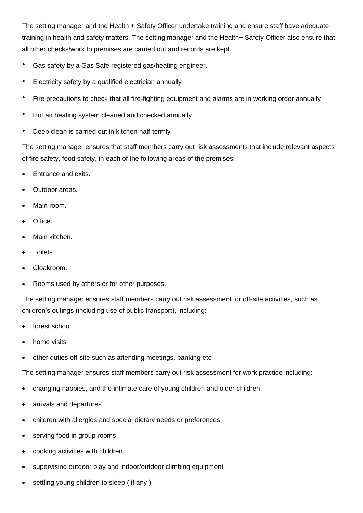The setting manager and the Health + Safety Officer undertake training and ensure staff have adequate training in health and safety matters. The setting manager and the Health+ Safety Officer also ensure that all other checks/work to premises are carried out and records are kept.

- Gas safety by a Gas Safe registered gas/heating engineer.
- Electricity safety by a qualified electrician annually
- Fire precautions to check that all fire-fighting equipment and alarms are in working order annually
- Hot air heating system cleaned and checked annually
- Deep clean is carried out in kitchen half-termly

The setting manager ensures that staff members carry out risk assessments that include relevant aspects of fire safety, food safety, in each of the following areas of the premises:

- Entrance and exits.
- Outdoor areas.
- Main room.
- Office.
- Main kitchen.
- Toilets.
- Cloakroom.
- Rooms used by others or for other purposes.

The setting manager ensures staff members carry out risk assessment for off-site activities, such as children's outings (including use of public transport), including:

- forest school
- home visits
- other duties off-site such as attending meetings, banking etc

The setting manager ensures staff members carry out risk assessment for work practice including:

- changing nappies, and the intimate care of young children and older children
- arrivals and departures
- children with allergies and special dietary needs or preferences
- serving food in group rooms
- cooking activities with children
- supervising outdoor play and indoor/outdoor climbing equipment
- settling young children to sleep ( if any )